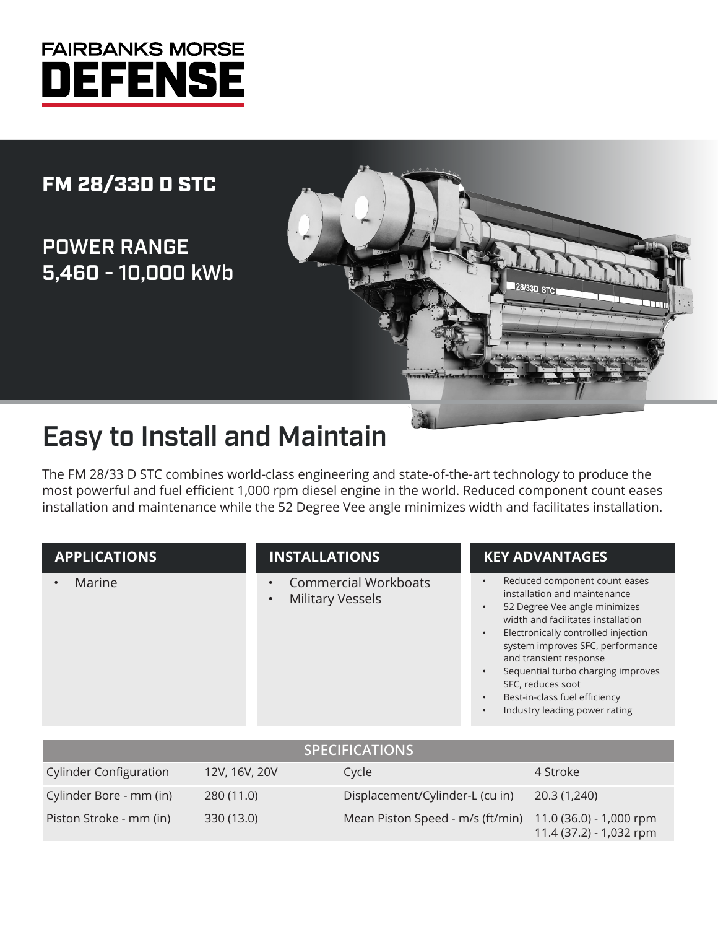

## FM 28/33D D STC

## POWER RANGE 5,460 - 10,000 kWb



# Easy to Install and Maintain

The FM 28/33 D STC combines world-class engineering and state-of-the-art technology to produce the most powerful and fuel efficient 1,000 rpm diesel engine in the world. Reduced component count eases installation and maintenance while the 52 Degree Vee angle minimizes width and facilitates installation.

#### **APPLICATIONS**

• Marine

### **INSTALLATIONS**

- Commercial Workboats
- Military Vessels

### **KEY ADVANTAGES**

- Reduced component count eases installation and maintenance
- 52 Degree Vee angle minimizes width and facilitates installation
- Electronically controlled injection system improves SFC, performance and transient response
- Sequential turbo charging improves SFC, reduces soot
- Best-in-class fuel efficiency
- Industry leading power rating

| <b>SPECIFICATIONS</b>         |               |                                                          |                         |  |  |  |  |
|-------------------------------|---------------|----------------------------------------------------------|-------------------------|--|--|--|--|
| <b>Cylinder Configuration</b> | 12V, 16V, 20V | Cycle                                                    | 4 Stroke                |  |  |  |  |
| Cylinder Bore - mm (in)       | 280(11.0)     | Displacement/Cylinder-L (cu in)                          | 20.3 (1,240)            |  |  |  |  |
| Piston Stroke - mm (in)       | 330 (13.0)    | Mean Piston Speed - m/s (ft/min) 11.0 (36.0) - 1,000 rpm | 11.4 (37.2) - 1,032 rpm |  |  |  |  |